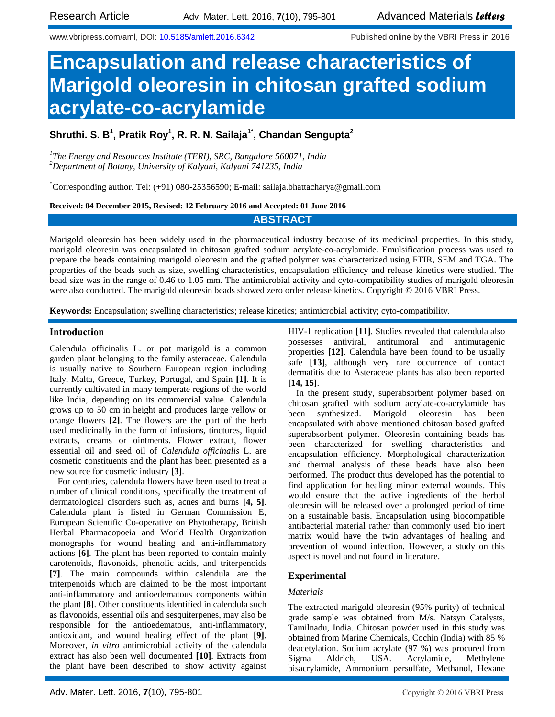www.vbripress.com/aml, DOI: [10.5185/amlett.2016.6342](http://www.dx.doi.org/10.5185/amlett.2016.6342) Published online by the VBRI Press in 2016

# **Encapsulation and release characteristics of Marigold oleoresin in chitosan grafted sodium acrylate-co-acrylamide**

**Shruthi. S. B 1 , Pratik Roy<sup>1</sup> , R. R. N. Sailaja1\* , Chandan Sengupta<sup>2</sup>**

*1 The Energy and Resources Institute (TERI), SRC, Bangalore 560071, India <sup>2</sup>Department of Botany, University of Kalyani, Kalyani 741235, India*

\*Corresponding author. Tel: (+91) 080-25356590; E-mail: sailaja.bhattacharya@gmail.com

**Received: 04 December 2015, Revised: 12 February 2016 and Accepted: 01 June 2016**

# **ABSTRACT**

Marigold oleoresin has been widely used in the pharmaceutical industry because of its medicinal properties. In this study, marigold oleoresin was encapsulated in chitosan grafted sodium acrylate-co-acrylamide. Emulsification process was used to prepare the beads containing marigold oleoresin and the grafted polymer was characterized using FTIR, SEM and TGA. The properties of the beads such as size, swelling characteristics, encapsulation efficiency and release kinetics were studied. The bead size was in the range of 0.46 to 1.05 mm. The antimicrobial activity and cyto-compatibility studies of marigold oleoresin were also conducted. The marigold oleoresin beads showed zero order release kinetics. Copyright © 2016 VBRI Press.

**Keywords:** Encapsulation; swelling characteristics; release kinetics; antimicrobial activity; cyto-compatibility.

## **Introduction**

Calendula officinalis L. or pot marigold is a common garden plant belonging to the family asteraceae. Calendula is usually native to Southern European region including Italy, Malta, Greece, Turkey, Portugal, and Spain **[1]**. It is currently cultivated in many temperate regions of the world like India, depending on its commercial value. Calendula grows up to 50 cm in height and produces large yellow or orange flowers **[2]**. The flowers are the part of the herb used medicinally in the form of infusions, tinctures, liquid extracts, creams or ointments. Flower extract, flower essential oil and seed oil of *Calendula officinalis* L. are cosmetic constituents and the plant has been presented as a new source for cosmetic industry **[3]**.

For centuries, calendula flowers have been used to treat a number of clinical conditions, specifically the treatment of dermatological disorders such as, acnes and burns **[4, 5]**. Calendula plant is listed in German Commission E, European Scientific Co-operative on Phytotherapy, British Herbal Pharmacopoeia and World Health Organization monographs for wound healing and anti-inflammatory actions **[6]**. The plant has been reported to contain mainly carotenoids, flavonoids, phenolic acids, and triterpenoids **[7]**. The main compounds within calendula are the triterpenoids which are claimed to be the most important anti-inflammatory and antioedematous components within the plant **[8]**. Other constituents identified in calendula such as flavonoids, essential oils and sesquiterpenes, may also be responsible for the antioedematous, anti-inflammatory, antioxidant, and wound healing effect of the plant **[9]**. Moreover, *in vitro* antimicrobial activity of the calendula extract has also been well documented **[10]**. Extracts from the plant have been described to show activity against

HIV-1 replication **[11]**. Studies revealed that calendula also possesses antiviral, antitumoral and antimutagenic properties **[12]**. Calendula have been found to be usually safe **[13]**, although very rare occurrence of contact dermatitis due to Asteraceae plants has also been reported **[14, 15]**.

In the present study, superabsorbent polymer based on chitosan grafted with sodium acrylate-co-acrylamide has been synthesized. Marigold oleoresin has been encapsulated with above mentioned chitosan based grafted superabsorbent polymer. Oleoresin containing beads has been characterized for swelling characteristics and encapsulation efficiency. Morphological characterization and thermal analysis of these beads have also been performed. The product thus developed has the potential to find application for healing minor external wounds. This would ensure that the active ingredients of the herbal oleoresin will be released over a prolonged period of time on a sustainable basis. Encapsulation using biocompatible antibacterial material rather than commonly used bio inert matrix would have the twin advantages of healing and prevention of wound infection. However, a study on this aspect is novel and not found in literature.

# **Experimental**

## *Materials*

The extracted marigold oleoresin (95% purity) of technical grade sample was obtained from M/s. Natsyn Catalysts, Tamilnadu, India. Chitosan powder used in this study was obtained from Marine Chemicals, Cochin (India) with 85 % deacetylation. Sodium acrylate (97 %) was procured from Sigma Aldrich, USA. Acrylamide, Methylene bisacrylamide, Ammonium persulfate, Methanol, Hexane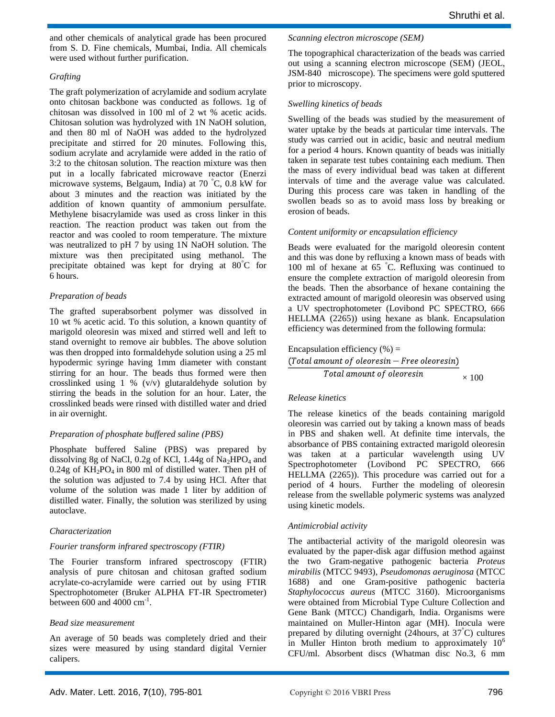and other chemicals of analytical grade has been procured from S. D. Fine chemicals, Mumbai, India. All chemicals were used without further purification.

## *Grafting*

The graft polymerization of acrylamide and sodium acrylate onto chitosan backbone was conducted as follows. 1g of chitosan was dissolved in 100 ml of 2 wt % acetic acids. Chitosan solution was hydrolyzed with 1N NaOH solution, and then 80 ml of NaOH was added to the hydrolyzed precipitate and stirred for 20 minutes. Following this, sodium acrylate and acrylamide were added in the ratio of 3:2 to the chitosan solution. The reaction mixture was then put in a locally fabricated microwave reactor (Enerzi microwave systems, Belgaum, India) at 70 °C, 0.8 kW for about 3 minutes and the reaction was initiated by the addition of known quantity of ammonium persulfate. Methylene bisacrylamide was used as cross linker in this reaction. The reaction product was taken out from the reactor and was cooled to room temperature. The mixture was neutralized to pH 7 by using 1N NaOH solution. The mixture was then precipitated using methanol. The precipitate obtained was kept for drying at 80°C for 6 hours.

# *Preparation of beads*

The grafted superabsorbent polymer was dissolved in 10 wt % acetic acid. To this solution, a known quantity of marigold oleoresin was mixed and stirred well and left to stand overnight to remove air bubbles. The above solution was then dropped into formaldehyde solution using a 25 ml hypodermic syringe having 1mm diameter with constant stirring for an hour. The beads thus formed were then crosslinked using 1 % (v/v) glutaraldehyde solution by stirring the beads in the solution for an hour. Later, the crosslinked beads were rinsed with distilled water and dried in air overnight.

# *Preparation of phosphate buffered saline (PBS)*

Phosphate buffered Saline (PBS) was prepared by dissolving 8g of NaCl, 0.2g of KCl, 1.44g of  $Na<sub>2</sub>HPO<sub>4</sub>$  and  $0.24g$  of KH<sub>2</sub>PO<sub>4</sub> in 800 ml of distilled water. Then pH of the solution was adjusted to 7.4 by using HCl. After that volume of the solution was made 1 liter by addition of distilled water. Finally, the solution was sterilized by using autoclave.

# *Characterization*

## *Fourier transform infrared spectroscopy (FTIR)*

The Fourier transform infrared spectroscopy (FTIR) analysis of pure chitosan and chitosan grafted sodium acrylate-co-acrylamide were carried out by using FTIR Spectrophotometer (Bruker ALPHA FT-IR Spectrometer) between  $600$  and  $4000$   $cm^{-1}$ .

## *Bead size measurement*

An average of 50 beads was completely dried and their sizes were measured by using standard digital Vernier calipers.

#### *Scanning electron microscope (SEM)*

The topographical characterization of the beads was carried out using a scanning electron microscope (SEM) (JEOL, JSM-840 microscope). The specimens were gold sputtered prior to microscopy.

## *Swelling kinetics of beads*

Swelling of the beads was studied by the measurement of water uptake by the beads at particular time intervals. The study was carried out in acidic, basic and neutral medium for a period 4 hours. Known quantity of beads was initially taken in separate test tubes containing each medium. Then the mass of every individual bead was taken at different intervals of time and the average value was calculated. During this process care was taken in handling of the swollen beads so as to avoid mass loss by breaking or erosion of beads.

# *Content uniformity or encapsulation efficiency*

Beads were evaluated for the marigold oleoresin content and this was done by refluxing a known mass of beads with 100 ml of hexane at 65 °C. Refluxing was continued to ensure the complete extraction of marigold oleoresin from the beads. Then the absorbance of hexane containing the extracted amount of marigold oleoresin was observed using a UV spectrophotometer (Lovibond PC SPECTRO, 666 HELLMA (2265)) using hexane as blank. Encapsulation efficiency was determined from the following formula:

| Encapsulation efficiency (%) =                      |
|-----------------------------------------------------|
| <i>(Total amount of oleoresin – Free oleoresin)</i> |
| <i>Total amount of oleoresin</i>                    |
| $\times$ 100                                        |

## *Release kinetics*

The release kinetics of the beads containing marigold oleoresin was carried out by taking a known mass of beads in PBS and shaken well. At definite time intervals, the absorbance of PBS containing extracted marigold oleoresin was taken at a particular wavelength using UV Spectrophotometer (Lovibond PC SPECTRO, 666 HELLMA (2265)). This procedure was carried out for a period of 4 hours. Further the modeling of oleoresin release from the swellable polymeric systems was analyzed using kinetic models.

## *Antimicrobial activity*

The antibacterial activity of the marigold oleoresin was evaluated by the paper-disk agar diffusion method against the two Gram-negative pathogenic bacteria *Proteus mirabilis* (MTCC 9493), *Pseudomonas aeruginosa* (MTCC 1688) and one Gram-positive pathogenic bacteria *Staphylococcus aureus* (MTCC 3160). Microorganisms were obtained from Microbial Type Culture Collection and Gene Bank (MTCC) Chandigarh, India. Organisms were maintained on Muller-Hinton agar (MH). Inocula were prepared by diluting overnight (24hours, at 37 °C) cultures in Muller Hinton broth medium to approximately  $10<sup>6</sup>$ CFU/ml. Absorbent discs (Whatman disc No.3, 6 mm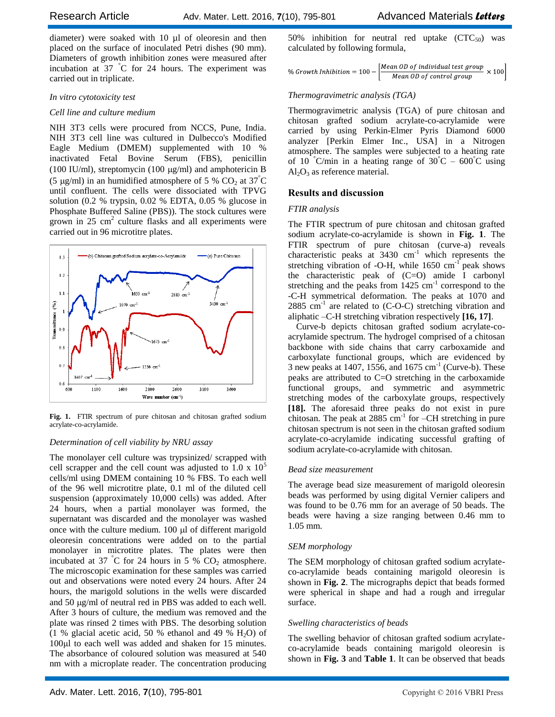diameter) were soaked with 10 µl of oleoresin and then placed on the surface of inoculated Petri dishes (90 mm). Diameters of growth inhibition zones were measured after incubation at 37 °C for 24 hours. The experiment was carried out in triplicate.

# *In vitro cytotoxicity test*

# *Cell line and culture medium*

NIH 3T3 cells were procured from NCCS, Pune, India. NIH 3T3 cell line was cultured in Dulbecco's Modified Eagle Medium (DMEM) supplemented with 10 % inactivated Fetal Bovine Serum (FBS), penicillin (100 IU/ml), streptomycin (100  $\mu$ g/ml) and amphotericin B (5 µg/ml) in an humidified atmosphere of 5 % CO<sub>2</sub> at  $37^{\circ}$ C until confluent. The cells were dissociated with TPVG solution  $(0.2 \%$  trypsin,  $0.02 \%$  EDTA,  $0.05 \%$  glucose in Phosphate Buffered Saline (PBS)). The stock cultures were grown in  $25 \text{ cm}^2$  culture flasks and all experiments were carried out in 96 microtitre plates.



Fig. 1. FTIR spectrum of pure chitosan and chitosan grafted sodium acrylate-co-acrylamide.

# *Determination of cell viability by NRU assay*

The monolayer cell culture was trypsinized/ scrapped with cell scrapper and the cell count was adjusted to 1.0 x  $10<sup>5</sup>$ cells/ml using DMEM containing 10 % FBS. To each well of the 96 well microtitre plate, 0.1 ml of the diluted cell suspension (approximately 10,000 cells) was added. After 24 hours, when a partial monolayer was formed, the supernatant was discarded and the monolayer was washed once with the culture medium.  $100 \mu l$  of different marigold oleoresin concentrations were added on to the partial monolayer in microtitre plates. The plates were then incubated at 37  $\degree$ C for 24 hours in 5 % CO<sub>2</sub> atmosphere. The microscopic examination for these samples was carried out and observations were noted every 24 hours. After 24 hours, the marigold solutions in the wells were discarded and 50 µg/ml of neutral red in PBS was added to each well. After 3 hours of culture, the medium was removed and the plate was rinsed 2 times with PBS. The desorbing solution (1 % glacial acetic acid, 50 % ethanol and 49 %  $H_2O$ ) of 100μl to each well was added and shaken for 15 minutes. The absorbance of coloured solution was measured at 540 nm with a microplate reader. The concentration producing

50% inhibition for neutral red uptake  $(CTC_{50})$  was calculated by following formula,

| % Growth Inhibition = $100 - \frac{1}{100}$ | $-\left[\frac{Mean\,OD\,of\,individual\,test\,group}{2} \times 100\right]$ |  |
|---------------------------------------------|----------------------------------------------------------------------------|--|
|                                             | Mean OD of control group                                                   |  |

# *Thermogravimetric analysis (TGA)*

Thermogravimetric analysis (TGA) of pure chitosan and chitosan grafted sodium acrylate-co-acrylamide were carried by using Perkin-Elmer Pyris Diamond 6000 analyzer [Perkin Elmer Inc., USA] in a Nitrogen atmosphere. The samples were subjected to a heating rate of 10 °C/min in a heating range of  $30^{\circ}C - 600^{\circ}C$  using  $Al_2O_3$  as reference material.

# **Results and discussion**

# *FTIR analysis*

The FTIR spectrum of pure chitosan and chitosan grafted sodium acrylate-co-acrylamide is shown in **Fig. 1**. The FTIR spectrum of pure chitosan (curve-a) reveals characteristic peaks at  $3430 \text{ cm}^{-1}$  which represents the stretching vibration of  $-O-H$ , while 1650 cm<sup>-1</sup> peak shows the characteristic peak of (C=O) amide I carbonyl stretching and the peaks from  $1425 \text{ cm}^{-1}$  correspond to the -C-H symmetrical deformation. The peaks at 1070 and  $2885$  cm<sup>-1</sup> are related to (C-O-C) stretching vibration and aliphatic –C-H stretching vibration respectively **[16, 17]**.

Curve-b depicts chitosan grafted sodium acrylate-coacrylamide spectrum. The hydrogel comprised of a chitosan backbone with side chains that carry carboxamide and carboxylate functional groups, which are evidenced by 3 new peaks at 1407, 1556, and 1675  $\text{cm}^{-1}$  (Curve-b). These peaks are attributed to C=O stretching in the carboxamide functional groups, and symmetric and asymmetric stretching modes of the carboxylate groups, respectively **[18].** The aforesaid three peaks do not exist in pure chitosan. The peak at  $2885 \text{ cm}^{-1}$  for  $\text{C}$ H stretching in pure chitosan spectrum is not seen in the chitosan grafted sodium acrylate-co-acrylamide indicating successful grafting of sodium acrylate-co-acrylamide with chitosan.

# *Bead size measurement*

The average bead size measurement of marigold oleoresin beads was performed by using digital Vernier calipers and was found to be 0.76 mm for an average of 50 beads. The beads were having a size ranging between 0.46 mm to 1.05 mm.

# *SEM morphology*

The SEM morphology of chitosan grafted sodium acrylateco-acrylamide beads containing marigold oleoresin is shown in **Fig. 2**. The micrographs depict that beads formed were spherical in shape and had a rough and irregular surface.

# *Swelling characteristics of beads*

The swelling behavior of chitosan grafted sodium acrylateco-acrylamide beads containing marigold oleoresin is shown in **Fig. 3** and **Table 1**. It can be observed that beads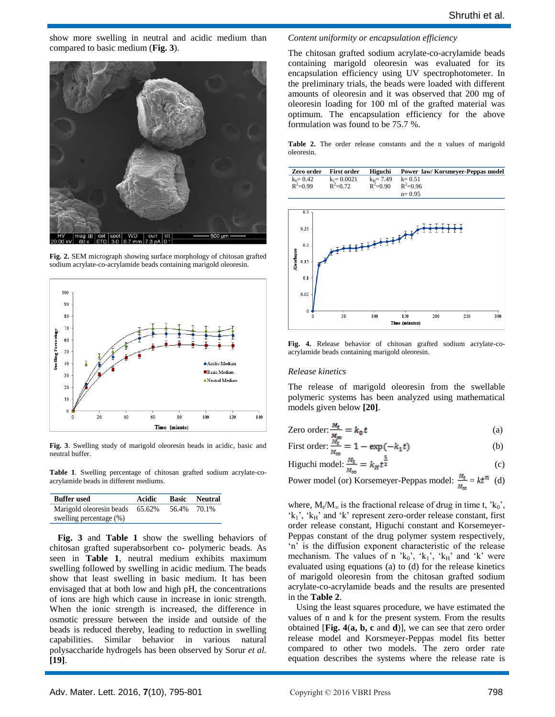show more swelling in neutral and acidic medium than compared to basic medium (**Fig. 3**).



**Fig. 2.** SEM micrograph showing surface morphology of chitosan grafted sodium acrylate-co-acrylamide beads containing marigold oleoresin.



**Fig. 3**. Swelling study of marigold oleoresin beads in acidic, basic and neutral buffer.

**Table 1**. Swelling percentage of chitosan grafted sodium acrylate-coacrylamide beads in different mediums.

| <b>Buffer used</b>       | Acidic |       | <b>Basic</b> Neutral |
|--------------------------|--------|-------|----------------------|
| Marigold oleoresin beads | 65.62% | 56.4% | 70.1%                |
| swelling percentage (%)  |        |       |                      |

**Fig. 3** and **Table 1** show the swelling behaviors of chitosan grafted superabsorbent co- polymeric beads. As seen in **Table 1**, neutral medium exhibits maximum swelling followed by swelling in acidic medium. The beads show that least swelling in basic medium. It has been envisaged that at both low and high pH, the concentrations of ions are high which cause in increase in ionic strength. When the ionic strength is increased, the difference in osmotic pressure between the inside and outside of the beads is reduced thereby, leading to reduction in swelling capabilities. Similar behavior in various natural polysaccharide hydrogels has been observed by Sorur *et al.* **[19]**.

#### *Content uniformity or encapsulation efficiency*

The chitosan grafted sodium acrylate-co-acrylamide beads containing marigold oleoresin was evaluated for its encapsulation efficiency using UV spectrophotometer. In the preliminary trials, the beads were loaded with different amounts of oleoresin and it was observed that 200 mg of oleoresin loading for 100 ml of the grafted material was optimum. The encapsulation efficiency for the above formulation was found to be 75.7 %.

**Table 2.** The order release constants and the n values of marigold oleoresin.

| Zero order First order               |                                |                                                  | Higuchi Power law/Korsmeyer-Peppas model |
|--------------------------------------|--------------------------------|--------------------------------------------------|------------------------------------------|
| $k_0 = 0.42$<br>R <sup>2</sup> =0.99 | $k_1 = 0.0021$<br>$R^2 = 0.72$ | $k_H$ = 7.49 $k$ = 0.51<br>$R^2=0.90$ $R^2=0.96$ |                                          |
|                                      |                                |                                                  | $n = 0.95$                               |



**Fig. 4.** Release behavior of chitosan grafted sodium acrylate-coacrylamide beads containing marigold oleoresin.

#### *Release kinetics*

The release of marigold oleoresin from the swellable polymeric systems has been analyzed using mathematical models given below **[20]**.

Zero order: 
$$
\frac{M_t}{M_{\infty}} = k_0 t
$$
 (a)

First order: 
$$
\frac{\dot{M}_t}{M_{\infty}} = 1 - \exp(-k_1 t)
$$
 (b)

$$
\text{Higuchi model: } \frac{M_{\text{t}}}{M_{\text{oo}}} = k_H t^{\frac{1}{2}} \tag{c}
$$

Power model (or) Korsemeyer-Peppas model:  $\frac{M_t}{M_{\text{tot}}} = kt^n$  (d)

where,  $M_t/M_\infty$  is the fractional release of drug in time t, ' $k_0$ ',  $k_1$ <sup>'</sup>,  $k_H$ ' and 'k' represent zero-order release constant, first order release constant, Higuchi constant and Korsemeyer-Peppas constant of the drug polymer system respectively, 'n' is the diffusion exponent characteristic of the release mechanism. The values of n  $k_0$ ', 'k<sub>1</sub>', 'k<sub>H</sub>' and 'k' were evaluated using equations (a) to (d) for the release kinetics of marigold oleoresin from the chitosan grafted sodium acrylate-co-acrylamide beads and the results are presented in the **Table 2**.

Using the least squares procedure, we have estimated the values of n and k for the present system. From the results obtained [**Fig. 4**(**a, b, c** and **d**)], we can see that zero order release model and Korsmeyer-Peppas model fits better compared to other two models. The zero order rate equation describes the systems where the release rate is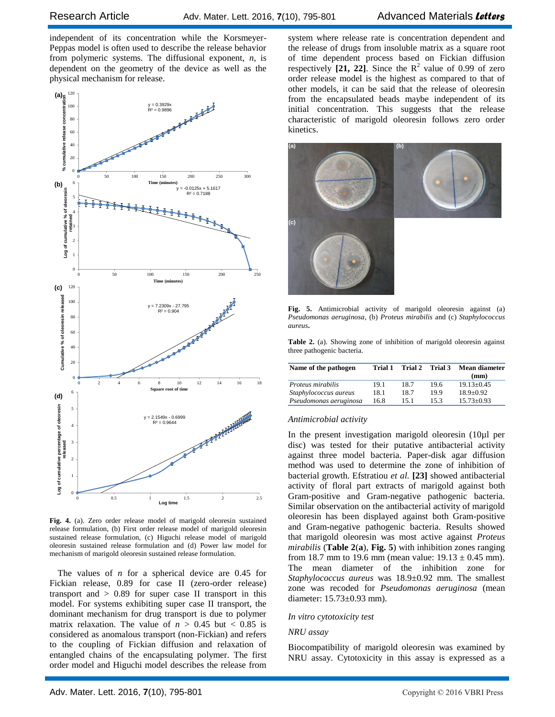independent of its concentration while the Korsmeyer-Peppas model is often used to describe the release behavior from polymeric systems. The diffusional exponent, *n*, is dependent on the geometry of the device as well as the physical mechanism for release.



**Fig. 4.** (a). Zero order release model of marigold oleoresin sustained release formulation, (b) First order release model of marigold oleoresin sustained release formulation, (c) Higuchi release model of marigold oleoresin sustained release formulation and (d) Power law model for mechanism of marigold oleoresin sustained release formulation.

The values of *n* for a spherical device are 0.45 for Fickian release, 0.89 for case II (zero-order release) transport and  $> 0.89$  for super case II transport in this model. For systems exhibiting super case II transport, the dominant mechanism for drug transport is due to polymer matrix relaxation. The value of  $n > 0.45$  but  $< 0.85$  is considered as anomalous transport (non-Fickian) and refers to the coupling of Fickian diffusion and relaxation of entangled chains of the encapsulating polymer. The first order model and Higuchi model describes the release from

system where release rate is concentration dependent and the release of drugs from insoluble matrix as a square root of time dependent process based on Fickian diffusion respectively  $[21, 22]$ . Since the  $\mathbb{R}^2$  value of 0.99 of zero order release model is the highest as compared to that of other models, it can be said that the release of oleoresin from the encapsulated beads maybe independent of its initial concentration. This suggests that the release characteristic of marigold oleoresin follows zero order kinetics.



**Fig. 5.** Antimicrobial activity of marigold oleoresin against (a) *Pseudomonas aeruginosa,* (b) *Proteus mirabilis* and (c) *Staphylococcus aureus***.**

**Table 2.** (a). Showing zone of inhibition of marigold oleoresin against three pathogenic bacteria.

| Name of the pathogen   | Trial 1 | Trial 2 | Trial 3 | Mean diameter<br>(mm) |
|------------------------|---------|---------|---------|-----------------------|
| Proteus mirabilis      | 19.1    | 18.7    | 19.6    | $19.13+0.45$          |
| Staphylococcus aureus  | 18.1    | 187     | 199     | $18.9 + 0.92$         |
| Pseudomonas aeruginosa | 16.8    | 151     | 153     | $15.73 + 0.93$        |

#### *Antimicrobial activity*

In the present investigation marigold oleoresin (10µl per disc) was tested for their putative antibacterial activity against three model bacteria. Paper-disk agar diffusion method was used to determine the zone of inhibition of bacterial growth. Efstratiou *et al.* **[23]** showed antibacterial activity of floral part extracts of marigold against both Gram-positive and Gram-negative pathogenic bacteria. Similar observation on the antibacterial activity of marigold oleoresin has been displayed against both Gram-positive and Gram-negative pathogenic bacteria. Results showed that marigold oleoresin was most active against *Proteus mirabilis* (**Table 2**(**a**), **Fig. 5**) with inhibition zones ranging from 18.7 mm to 19.6 mm (mean value:  $19.13 \pm 0.45$  mm). The mean diameter of the inhibition zone for *Staphylococcus aureus* was 18.9±0.92 mm. The smallest zone was recoded for *Pseudomonas aeruginosa* (mean diameter: 15.73±0.93 mm).

#### *In vitro cytotoxicity test*

#### *NRU assay*

Biocompatibility of marigold oleoresin was examined by NRU assay. Cytotoxicity in this assay is expressed as a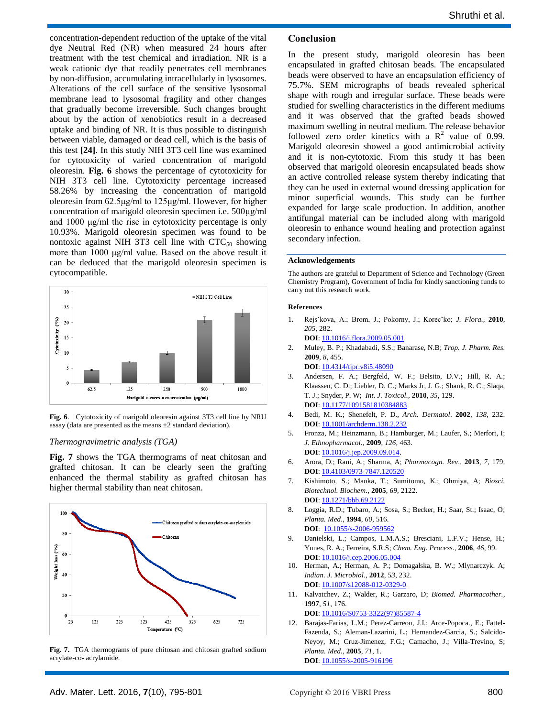concentration-dependent reduction of the uptake of the vital dye Neutral Red (NR) when measured 24 hours after treatment with the test chemical and irradiation. NR is a weak cationic dye that readily penetrates cell membranes by non-diffusion, accumulating intracellularly in lysosomes. Alterations of the cell surface of the sensitive lysosomal membrane lead to lysosomal fragility and other changes that gradually become irreversible. Such changes brought about by the action of xenobiotics result in a decreased uptake and binding of NR. It is thus possible to distinguish between viable, damaged or dead cell, which is the basis of this test **[24]**. In this study NIH 3T3 cell line was examined for cytotoxicity of varied concentration of marigold oleoresin. **Fig. 6** shows the percentage of cytotoxicity for NIH 3T3 cell line. Cytotoxicity percentage increased 58.26% by increasing the concentration of marigold oleoresin from 62.5μg/ml to 125μg/ml. However, for higher concentration of marigold oleoresin specimen i.e. 500μg/ml and 1000 μg/ml the rise in cytotoxicity percentage is only 10.93%. Marigold oleoresin specimen was found to be nontoxic against NIH 3T3 cell line with  $CTC_{50}$  showing more than 1000 μg/ml value. Based on the above result it can be deduced that the marigold oleoresin specimen is cytocompatible.



**Fig. 6**. Cytotoxicity of marigold oleoresin against 3T3 cell line by NRU assay (data are presented as the means  $\pm 2$  standard deviation).

#### *Thermogravimetric analysis (TGA)*

**Fig. 7** shows the TGA thermograms of neat chitosan and grafted chitosan. It can be clearly seen the grafting enhanced the thermal stability as grafted chitosan has higher thermal stability than neat chitosan.



**Fig. 7.** TGA thermograms of pure chitosan and chitosan grafted sodium acrylate-co- acrylamide.

#### **Conclusion**

In the present study, marigold oleoresin has been encapsulated in grafted chitosan beads. The encapsulated beads were observed to have an encapsulation efficiency of 75.7%. SEM micrographs of beads revealed spherical shape with rough and irregular surface. These beads were studied for swelling characteristics in the different mediums and it was observed that the grafted beads showed maximum swelling in neutral medium. The release behavior followed zero order kinetics with a  $R^2$  value of 0.99. Marigold oleoresin showed a good antimicrobial activity and it is non-cytotoxic. From this study it has been observed that marigold oleoresin encapsulated beads show an active controlled release system thereby indicating that they can be used in external wound dressing application for minor superficial wounds. This study can be further expanded for large scale production. In addition, another antifungal material can be included along with marigold oleoresin to enhance wound healing and protection against secondary infection.

#### **Acknowledgements**

The authors are grateful to Department of Science and Technology (Green Chemistry Program), Government of India for kindly sanctioning funds to carry out this research work.

#### **References**

1. Rejsˇkova, A.; Brom, J.; Pokorny, J.; Korecˇko; *J. Flora.,* **2010**, *205*, 282.

**DOI**: [10.1016/j.flora.2009.05.001](http://www.sciencedirect.com/science/article/pii/S0367253009001030)

2. Muley, B. P.; Khadabadi, S.S.; Banarase, N.B; *Trop. J. Pharm. Res.*  **2009**, *8*, 455.

**DOI**: [10.4314/tjpr.v8i5.48090](http://www.ajol.info/index.php/tjpr/article/view/48090)

- 3. Andersen, F. A.; Bergfeld, W. F.; Belsito, D.V.; Hill, R. A.; Klaassen, C. D.; Liebler, D. C.; Marks Jr, J. G.; Shank, R. C.; Slaqa, T. J.; Snyder, P. W; *Int. J. Toxicol.,* **2010**, *35*, 129. **DOI**[: 10.1177/1091581810384883](http://www.ncbi.nlm.nih.gov/pubmed/21164072)
- 4. Bedi, M. K.; Shenefelt, P. D., *Arch. Dermatol*. **2002**, *138*, 232. **DOI**: [10.1001/archderm.138.2.232](http://archderm.jamanetwork.com/article.aspx?articleid=478692)
- 5. Fronza, M.; Heinzmann, B.; Hamburger, M.; Laufer, S.; Merfort, I; *J. Ethnopharmacol.,* **2009**, *126*, 463. **DOI**[: 10.1016/j.jep.2009.09.014.](http://www.ncbi.nlm.nih.gov/pubmed/19781615)
- 6. Arora, D.; Rani, A.; Sharma, A; *Pharmacogn. Rev*., **2013**, *7*, 179. **DOI**: [10.4103/0973-7847.120520](http://www.phcogrev.com/article.asp?issn=0973-7847;year=2013;volume=7;issue=14;spage=179;epage=187;aulast=Arora)
- 7. Kishimoto, S.; Maoka, T.; Sumitomo, K.; Ohmiya, A; *Biosci. Biotechnol. Biochem.,* **2005**, *69*, 2122. **DOI**[: 10.1271/bbb.69.2122](http://www.tandfonline.com/doi/abs/10.1271/bbb.69.2122#.VrGomdJ95ko)
- 8. Loggia, R.D.; Tubaro, A.; Sosa, S.; Becker, H.; Saar, St.; Isaac, O; *Planta. Med*., **1994**, *60*, 516. **DOI**: [10.1055/s-2006-959562](https://www.thieme-connect.com/products/ejournals/abstract/10.1055/s-2006-959562)
- 9. Danielski, L.; Campos, L.M.A.S.; Bresciani, L.F.V.; Hense, H.; Yunes, R. A.; Ferreira, S.R.S; *Chem. Eng. Process*., **2006**, *46*, 99. **DOI**: [10.1016/j.cep.2006.05.004](https://www.researchgate.net/publication/223441857_Marigold_Calendula_officinalis_L_oleoresin_Solubility_in_SC-CO2_and_composition_profile)
- 10. Herman, A.; Herman, A. P.; Domagalska, B. W.; Mlynarczyk. A; *Indian. J. Microbiol*., **2012**, 5*3*, 232. **DOI**: [10.1007/s12088-012-0329-0](http://www.ncbi.nlm.nih.gov/pubmed/24426114)
- 11. Kalvatchev, Z.; Walder, R.; Garzaro, D; *Biomed. Pharmacother.,*  **1997**, *51*, 176.

**DOI**: [10.1016/S0753-3322\(97\)85587-4](https://www.researchgate.net/publication/14011379_Anti-HIV_activity_of_extracts_from_Calendula_officinalis_flowers)

12. Barajas-Farias, L.M.; Perez-Carreon, J.I.; Arce-Popoca., E.; Fattel-Fazenda, S.; Aleman-Lazarini, L.; Hernandez-Garcia, S.; Salcido-Neyoy, M.; Cruz-Jimenez, F.G.; Camacho, J.; Villa-Trevino, S; *Planta. Med.,* **2005**, *71*, 1. **DOI**[: 10.1055/s-2005-916196](https://www.thieme-connect.com/products/ejournals/abstract/10.1055/s-2005-916196)